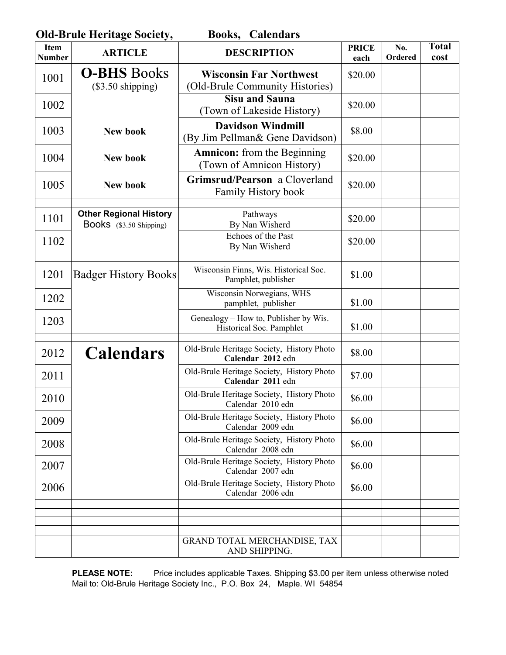| <b>Old-Brule Heritage Society,</b><br><b>Books, Calendars</b> |                                                          |                                                                   |                      |                |                      |  |
|---------------------------------------------------------------|----------------------------------------------------------|-------------------------------------------------------------------|----------------------|----------------|----------------------|--|
| <b>Item</b><br><b>Number</b>                                  | <b>ARTICLE</b>                                           | <b>DESCRIPTION</b>                                                | <b>PRICE</b><br>each | No.<br>Ordered | <b>Total</b><br>cost |  |
| 1001                                                          | <b>O-BHS</b> Books<br>$(\$3.50$ shipping)                | <b>Wisconsin Far Northwest</b><br>(Old-Brule Community Histories) | \$20.00              |                |                      |  |
| 1002                                                          |                                                          | <b>Sisu and Sauna</b><br>(Town of Lakeside History)               | \$20.00              |                |                      |  |
| 1003                                                          | <b>New book</b>                                          | <b>Davidson Windmill</b><br>(By Jim Pellman& Gene Davidson)       | \$8.00               |                |                      |  |
| 1004                                                          | New book                                                 | <b>Amnicon:</b> from the Beginning<br>(Town of Amnicon History)   | \$20.00              |                |                      |  |
| 1005                                                          | New book                                                 | Grimsrud/Pearson a Cloverland<br>Family History book              | \$20.00              |                |                      |  |
| 1101                                                          | <b>Other Regional History</b><br>Books (\$3.50 Shipping) | Pathways<br>By Nan Wisherd                                        | \$20.00              |                |                      |  |
| 1102                                                          |                                                          | Echoes of the Past<br>By Nan Wisherd                              | \$20.00              |                |                      |  |
| 1201                                                          | <b>Badger History Books</b>                              | Wisconsin Finns, Wis. Historical Soc.<br>Pamphlet, publisher      | \$1.00               |                |                      |  |
| 1202                                                          |                                                          | Wisconsin Norwegians, WHS<br>pamphlet, publisher                  | \$1.00               |                |                      |  |
| 1203                                                          |                                                          | Genealogy – How to, Publisher by Wis.<br>Historical Soc. Pamphlet | \$1.00               |                |                      |  |
| 2012                                                          | <b>Calendars</b>                                         | Old-Brule Heritage Society, History Photo<br>Calendar 2012 edn    | \$8.00               |                |                      |  |
| 2011                                                          |                                                          | Old-Brule Heritage Society, History Photo<br>Calendar 2011 edn    | \$7.00               |                |                      |  |
| 2010                                                          |                                                          | Old-Brule Heritage Society, History Photo<br>Calendar 2010 edn    | \$6.00               |                |                      |  |
| 2009                                                          |                                                          | Old-Brule Heritage Society, History Photo<br>Calendar 2009 edn    | \$6.00               |                |                      |  |
| 2008                                                          |                                                          | Old-Brule Heritage Society, History Photo<br>Calendar 2008 edn    | \$6.00               |                |                      |  |
| 2007                                                          |                                                          | Old-Brule Heritage Society, History Photo<br>Calendar 2007 edn    | \$6.00               |                |                      |  |
| 2006                                                          |                                                          | Old-Brule Heritage Society, History Photo<br>Calendar 2006 edn    | \$6.00               |                |                      |  |
|                                                               |                                                          |                                                                   |                      |                |                      |  |
|                                                               |                                                          | GRAND TOTAL MERCHANDISE, TAX<br>AND SHIPPING.                     |                      |                |                      |  |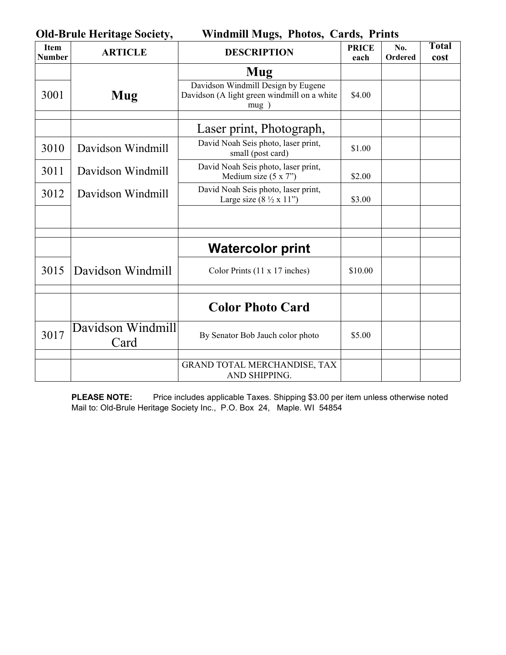**Old-Brule Heritage Society, Windmill Mugs, Photos, Cards, Prints** 

| <b>Item</b><br><b>Number</b> | <b>ARTICLE</b>            | <b>DESCRIPTION</b>                                                                        | <b>PRICE</b><br>each | No.<br>Ordered | <b>Total</b><br>cost |
|------------------------------|---------------------------|-------------------------------------------------------------------------------------------|----------------------|----------------|----------------------|
|                              |                           | Mug                                                                                       |                      |                |                      |
| 3001                         | Mug                       | Davidson Windmill Design by Eugene<br>Davidson (A light green windmill on a white<br>mug) | \$4.00               |                |                      |
|                              |                           | Laser print, Photograph,                                                                  |                      |                |                      |
| 3010                         | Davidson Windmill         | David Noah Seis photo, laser print,<br>small (post card)                                  | \$1.00               |                |                      |
| 3011                         | Davidson Windmill         | David Noah Seis photo, laser print,<br>Medium size $(5 x 7)$                              | \$2.00               |                |                      |
| 3012                         | Davidson Windmill         | David Noah Seis photo, laser print,<br>Large size $(8 \frac{1}{2} \times 11)$             | \$3.00               |                |                      |
|                              |                           |                                                                                           |                      |                |                      |
|                              |                           | <b>Watercolor print</b>                                                                   |                      |                |                      |
| 3015                         | Davidson Windmill         | Color Prints (11 x 17 inches)                                                             | \$10.00              |                |                      |
|                              |                           | <b>Color Photo Card</b>                                                                   |                      |                |                      |
| 3017                         | Davidson Windmill<br>Card | By Senator Bob Jauch color photo                                                          | \$5.00               |                |                      |
|                              |                           | GRAND TOTAL MERCHANDISE, TAX<br>AND SHIPPING.                                             |                      |                |                      |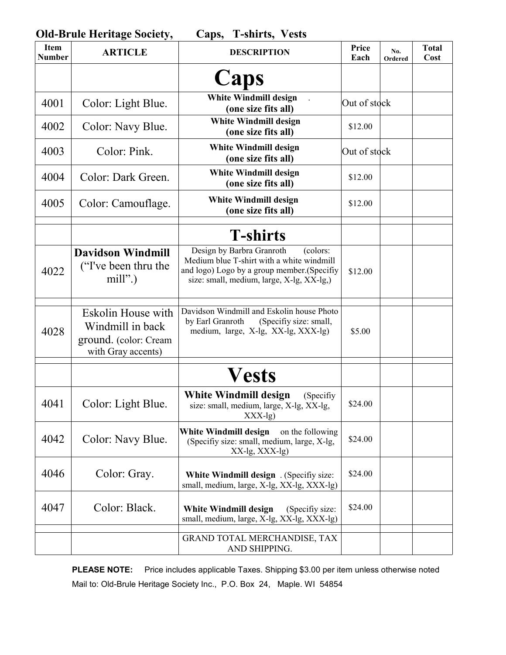| <b>Old-Brule Heritage Society,</b><br><b>T-shirts, Vests</b><br>Caps, |                                                                                       |                                                                                                                                                                                |               |                |                      |  |
|-----------------------------------------------------------------------|---------------------------------------------------------------------------------------|--------------------------------------------------------------------------------------------------------------------------------------------------------------------------------|---------------|----------------|----------------------|--|
| <b>Item</b><br><b>Number</b>                                          | <b>ARTICLE</b>                                                                        | <b>DESCRIPTION</b>                                                                                                                                                             | Price<br>Each | No.<br>Ordered | <b>Total</b><br>Cost |  |
|                                                                       |                                                                                       | Caps                                                                                                                                                                           |               |                |                      |  |
| 4001                                                                  | Color: Light Blue.                                                                    | <b>White Windmill design</b><br>(one size fits all)                                                                                                                            | Out of stock  |                |                      |  |
| 4002                                                                  | Color: Navy Blue.                                                                     | <b>White Windmill design</b><br>(one size fits all)                                                                                                                            | \$12.00       |                |                      |  |
| 4003                                                                  | Color: Pink.                                                                          | <b>White Windmill design</b><br>(one size fits all)                                                                                                                            | Out of stock  |                |                      |  |
| 4004                                                                  | Color: Dark Green.                                                                    | <b>White Windmill design</b><br>(one size fits all)                                                                                                                            | \$12.00       |                |                      |  |
| 4005                                                                  | Color: Camouflage.                                                                    | <b>White Windmill design</b><br>(one size fits all)                                                                                                                            | \$12.00       |                |                      |  |
|                                                                       |                                                                                       | <b>T-shirts</b>                                                                                                                                                                |               |                |                      |  |
| 4022                                                                  | <b>Davidson Windmill</b><br>("I've been thru the<br>$mill$ ".)                        | Design by Barbra Granroth<br>(colors:<br>Medium blue T-shirt with a white windmill<br>and logo) Logo by a group member. (Specifiy<br>size: small, medium, large, X-lg, XX-lg,) | \$12.00       |                |                      |  |
| 4028                                                                  | Eskolin House with<br>Windmill in back<br>ground. (color: Cream<br>with Gray accents) | Davidson Windmill and Eskolin house Photo<br>by Earl Granroth<br>(Specifiy size: small,<br>medium, large, X-lg, XX-lg, XXX-lg)                                                 | \$5.00        |                |                      |  |
|                                                                       |                                                                                       | <b>Vests</b>                                                                                                                                                                   |               |                |                      |  |
| 4041                                                                  | Color: Light Blue.                                                                    | <b>White Windmill design</b><br>(Specifiy<br>size: small, medium, large, X-lg, XX-lg,<br>$XXX-lg)$                                                                             | \$24.00       |                |                      |  |
| 4042                                                                  | Color: Navy Blue.                                                                     | White Windmill design<br>on the following<br>(Specifiy size: small, medium, large, X-lg,<br>XX-lg, XXX-lg)                                                                     | \$24.00       |                |                      |  |
| 4046                                                                  | Color: Gray.                                                                          | <b>White Windmill design</b> . (Specifiy size:<br>small, medium, large, X-lg, XX-lg, XXX-lg)                                                                                   | \$24.00       |                |                      |  |
| 4047                                                                  | Color: Black.                                                                         | <b>White Windmill design</b><br>(Specifiy size:<br>small, medium, large, X-lg, XX-lg, XXX-lg)                                                                                  | \$24.00       |                |                      |  |
|                                                                       |                                                                                       | GRAND TOTAL MERCHANDISE, TAX<br>AND SHIPPING.                                                                                                                                  |               |                |                      |  |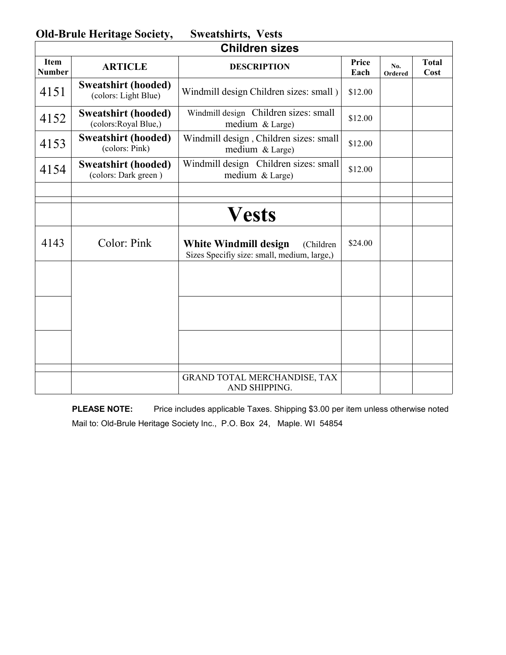**Old-Brule Heritage Society, Sweatshirts, Vests** 

| <b>Children sizes</b>        |                                                     |                                                                                    |               |                       |                      |  |
|------------------------------|-----------------------------------------------------|------------------------------------------------------------------------------------|---------------|-----------------------|----------------------|--|
| <b>Item</b><br><b>Number</b> | <b>ARTICLE</b>                                      | <b>DESCRIPTION</b>                                                                 | Price<br>Each | No.<br><b>Ordered</b> | <b>Total</b><br>Cost |  |
| 4151                         | <b>Sweatshirt (hooded)</b><br>(colors: Light Blue)  | Windmill design Children sizes: small)                                             | \$12.00       |                       |                      |  |
| 4152                         | <b>Sweatshirt (hooded)</b><br>(colors: Royal Blue,) | Windmill design Children sizes: small<br>medium & Large)                           | \$12.00       |                       |                      |  |
| 4153                         | <b>Sweatshirt (hooded)</b><br>(colors: Pink)        | Windmill design, Children sizes: small<br>medium & Large)                          | \$12.00       |                       |                      |  |
| 4154                         | <b>Sweatshirt (hooded)</b><br>(colors: Dark green)  | Windmill design Children sizes: small<br>medium & Large)                           | \$12.00       |                       |                      |  |
|                              |                                                     |                                                                                    |               |                       |                      |  |
|                              |                                                     | <b>Vests</b>                                                                       |               |                       |                      |  |
| 4143                         | Color: Pink                                         | White Windmill design<br>(Children)<br>Sizes Specifiy size: small, medium, large,) | \$24.00       |                       |                      |  |
|                              |                                                     |                                                                                    |               |                       |                      |  |
|                              |                                                     |                                                                                    |               |                       |                      |  |
|                              |                                                     |                                                                                    |               |                       |                      |  |
|                              |                                                     | GRAND TOTAL MERCHANDISE, TAX<br>AND SHIPPING.                                      |               |                       |                      |  |